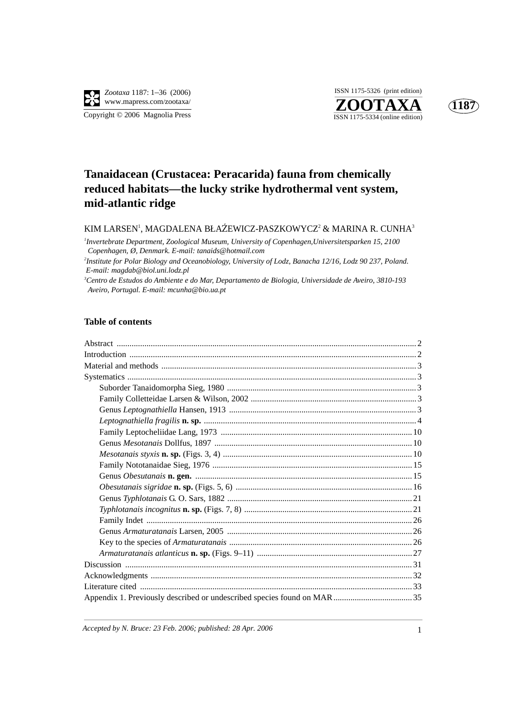





# **Tanaidacean (Crustacea: Peracarida) fauna from chemically reduced habitats—the lucky strike hydrothermal vent system, mid-atlantic ridge**

# KIM LARSEN<sup>1</sup>, MAGDALENA BŁAŹEWICZ-PASZKOWYCZ<sup>2</sup> & MARINA R. CUNHA<sup>3</sup><br>Italianski basis Derastarent Zarladia Mariana Italianska af General och Universitette och 15.2100.

*1 Invertebrate Department, Zoological Museum, University of Copenhagen,Universitetsparken 15, 2100 Copenhagen, Ø, Denmark. E-mail: tanaids@hotmail.com 2 Institute for Polar Biology and Oceanobiology, University of Lodz, Banacha 12/16, Lodz 90 237, Poland. E-mail: magdab@biol.uni.lodz.pl 3 Centro de Estudos do Ambiente e do Mar, Departamento de Biologia, Universidade de Aveiro, 3810-193 Aveiro, Portugal. E-mail: mcunha@bio.ua.pt*

#### **Table of contents**